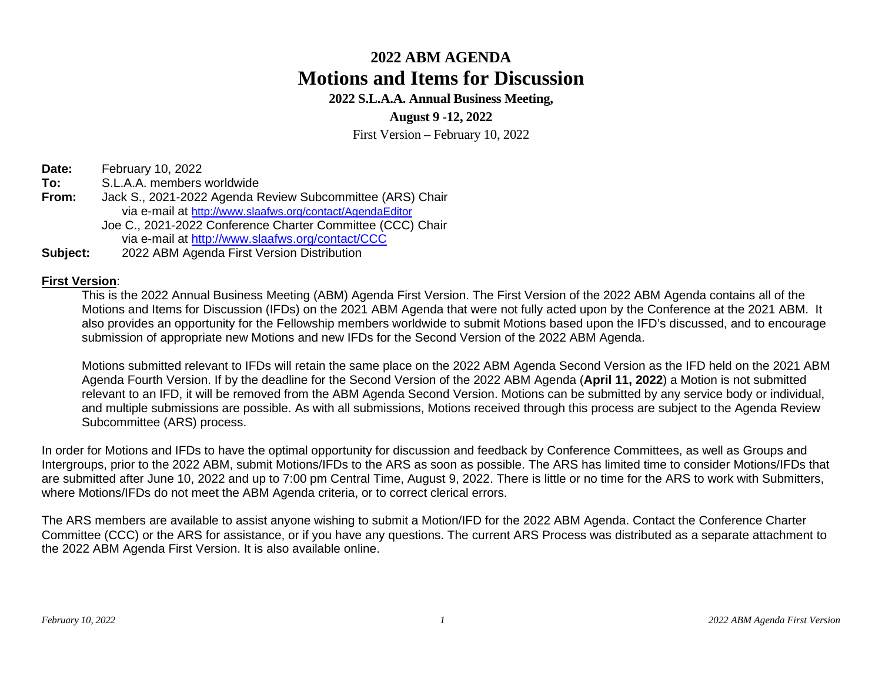**2022 S.L.A.A. Annual Business Meeting,** 

**August 9 -12, 2022** 

First Version – February 10, 2022

**Date:** February 10, 2022

- **To:** S.L.A.A. members worldwide **From:** Jack S., 2021-2022 Agenda Review Subcommittee (ARS) Chair via e-mail at <http://www.slaafws.org/contact/AgendaEditor> Joe C., 2021-2022 Conference Charter Committee (CCC) Chair via e-mail at<http://www.slaafws.org/contact/CCC>
- **Subject:** 2022 ABM Agenda First Version Distribution

#### **First Version**:

This is the 2022 Annual Business Meeting (ABM) Agenda First Version. The First Version of the 2022 ABM Agenda contains all of the Motions and Items for Discussion (IFDs) on the 2021 ABM Agenda that were not fully acted upon by the Conference at the 2021 ABM. It also provides an opportunity for the Fellowship members worldwide to submit Motions based upon the IFD's discussed, and to encourage submission of appropriate new Motions and new IFDs for the Second Version of the 2022 ABM Agenda.

Motions submitted relevant to IFDs will retain the same place on the 2022 ABM Agenda Second Version as the IFD held on the 2021 ABM Agenda Fourth Version. If by the deadline for the Second Version of the 2022 ABM Agenda (**April 11, 2022**) a Motion is not submitted relevant to an IFD, it will be removed from the ABM Agenda Second Version. Motions can be submitted by any service body or individual, and multiple submissions are possible. As with all submissions, Motions received through this process are subject to the Agenda Review Subcommittee (ARS) process.

In order for Motions and IFDs to have the optimal opportunity for discussion and feedback by Conference Committees, as well as Groups and Intergroups, prior to the 2022 ABM, submit Motions/IFDs to the ARS as soon as possible. The ARS has limited time to consider Motions/IFDs that are submitted after June 10, 2022 and up to 7:00 pm Central Time, August 9, 2022. There is little or no time for the ARS to work with Submitters, where Motions/IFDs do not meet the ABM Agenda criteria, or to correct clerical errors.

The ARS members are available to assist anyone wishing to submit a Motion/IFD for the 2022 ABM Agenda. Contact the Conference Charter Committee (CCC) or the ARS for assistance, or if you have any questions. The current ARS Process was distributed as a separate attachment to the 2022 ABM Agenda First Version. It is also available online.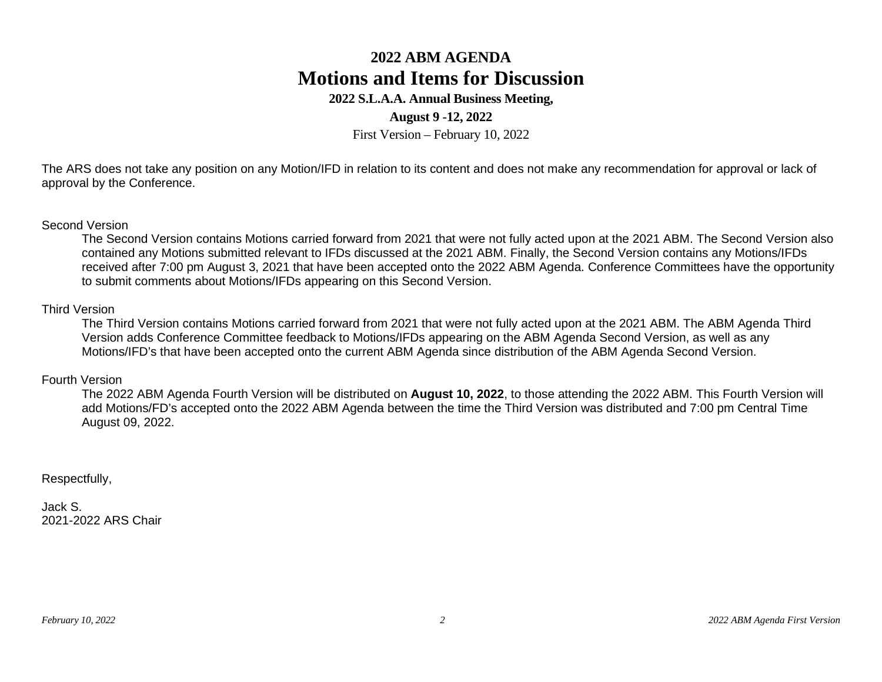#### **2022 S.L.A.A. Annual Business Meeting,**

#### **August 9 -12, 2022**

First Version – February 10, 2022

The ARS does not take any position on any Motion/IFD in relation to its content and does not make any recommendation for approval or lack of approval by the Conference.

#### Second Version

The Second Version contains Motions carried forward from 2021 that were not fully acted upon at the 2021 ABM. The Second Version also contained any Motions submitted relevant to IFDs discussed at the 2021 ABM. Finally, the Second Version contains any Motions/IFDs received after 7:00 pm August 3, 2021 that have been accepted onto the 2022 ABM Agenda. Conference Committees have the opportunity to submit comments about Motions/IFDs appearing on this Second Version.

#### Third Version

The Third Version contains Motions carried forward from 2021 that were not fully acted upon at the 2021 ABM. The ABM Agenda Third Version adds Conference Committee feedback to Motions/IFDs appearing on the ABM Agenda Second Version, as well as any Motions/IFD's that have been accepted onto the current ABM Agenda since distribution of the ABM Agenda Second Version.

#### Fourth Version

The 2022 ABM Agenda Fourth Version will be distributed on **August 10, 2022**, to those attending the 2022 ABM. This Fourth Version will add Motions/FD's accepted onto the 2022 ABM Agenda between the time the Third Version was distributed and 7:00 pm Central Time August 09, 2022.

#### Respectfully,

Jack S. 2021-2022 ARS Chair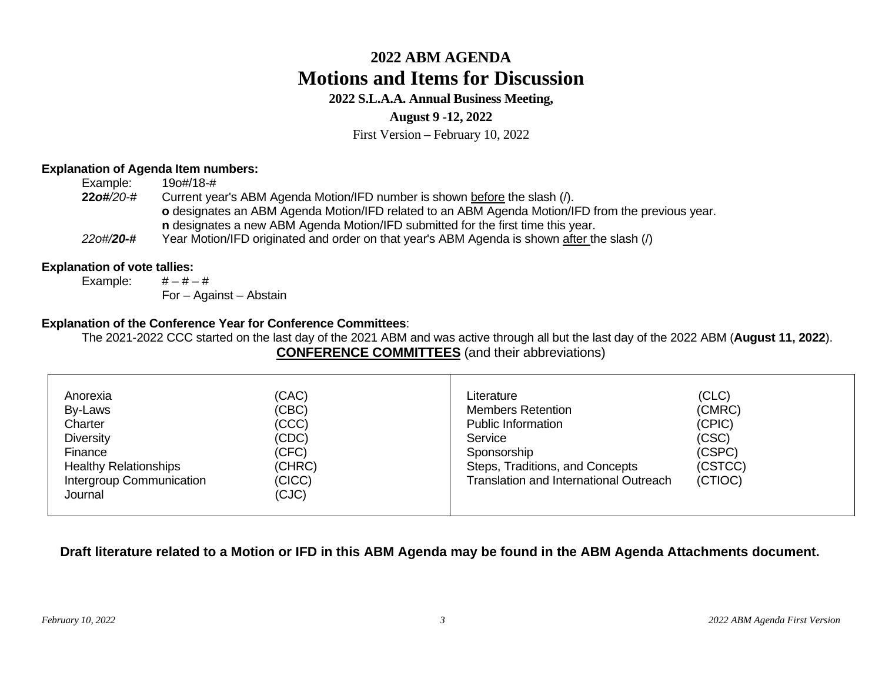### **2022 S.L.A.A. Annual Business Meeting,**

#### **August 9 -12, 2022**

First Version – February 10, 2022

#### **Explanation of Agenda Item numbers:**

| Example:             | 190#/18-#                                                                                         |
|----------------------|---------------------------------------------------------------------------------------------------|
| $220\frac{4}{20}$ -# | Current year's ABM Agenda Motion/IFD number is shown before the slash (/).                        |
|                      | o designates an ABM Agenda Motion/IFD related to an ABM Agenda Motion/IFD from the previous year. |
|                      | n designates a new ABM Agenda Motion/IFD submitted for the first time this year.                  |
| 220#/20-#            | Year Motion/IFD originated and order on that year's ABM Agenda is shown after the slash (/)       |

#### **Explanation of vote tallies:**

Example:  $\# - \# - \#$ For – Against – Abstain

#### **Explanation of the Conference Year for Conference Committees**:

The 2021-2022 CCC started on the last day of the 2021 ABM and was active through all but the last day of the 2022 ABM (**August 11, 2022**). **CONFERENCE COMMITTEES** (and their abbreviations)

| <b>Diversity</b><br>(CSC)<br>(CDC)<br>Service<br>(CFC)<br>(CSPC)<br>Sponsorship<br>Finance<br>(CSTCC)<br><b>Healthy Relationships</b><br>(CHRC)<br>Steps, Traditions, and Concepts<br><b>Translation and International Outreach</b><br>Intergroup Communication<br>(CTIOC)<br>(CICC)<br>(CJC)<br>Journal | Anorexia<br>By-Laws<br>Charter | (CAC)<br>(CBC)<br>(CCC) | Literature<br><b>Members Retention</b><br><b>Public Information</b> | (CLC)<br>(CMRC)<br>(CPIC) |  |
|----------------------------------------------------------------------------------------------------------------------------------------------------------------------------------------------------------------------------------------------------------------------------------------------------------|--------------------------------|-------------------------|---------------------------------------------------------------------|---------------------------|--|
|----------------------------------------------------------------------------------------------------------------------------------------------------------------------------------------------------------------------------------------------------------------------------------------------------------|--------------------------------|-------------------------|---------------------------------------------------------------------|---------------------------|--|

### **Draft literature related to a Motion or IFD in this ABM Agenda may be found in the ABM Agenda Attachments document.**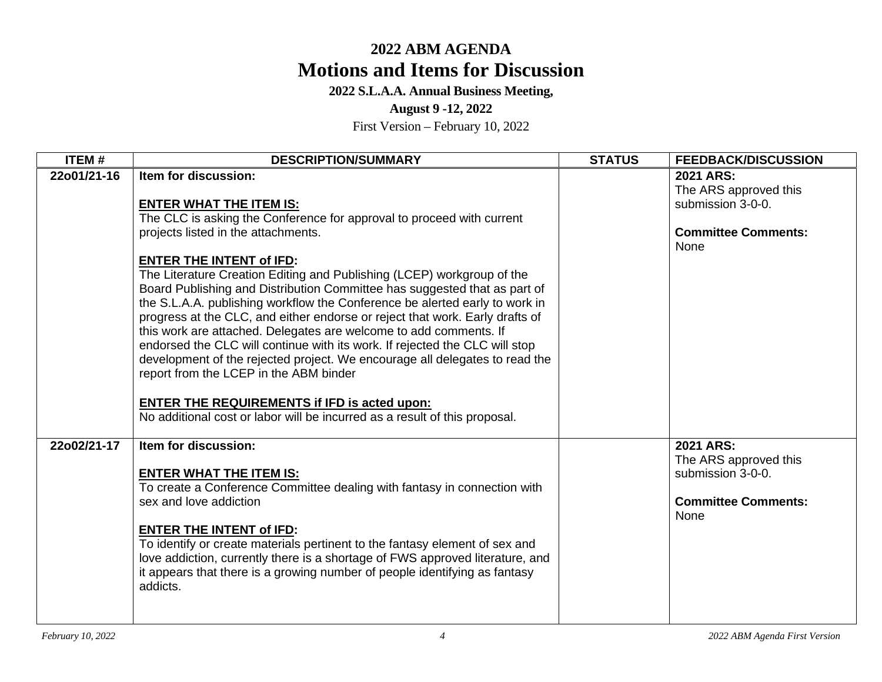### **2022 S.L.A.A. Annual Business Meeting,**

#### **August 9 -12, 2022**

| <b>ITEM#</b> | <b>DESCRIPTION/SUMMARY</b>                                                                                                                                                                                                                                                                                                                                                                                                                                                                                                                                                    | <b>STATUS</b> | <b>FEEDBACK/DISCUSSION</b>                                                                    |
|--------------|-------------------------------------------------------------------------------------------------------------------------------------------------------------------------------------------------------------------------------------------------------------------------------------------------------------------------------------------------------------------------------------------------------------------------------------------------------------------------------------------------------------------------------------------------------------------------------|---------------|-----------------------------------------------------------------------------------------------|
| 22o01/21-16  | Item for discussion:<br><b>ENTER WHAT THE ITEM IS:</b><br>The CLC is asking the Conference for approval to proceed with current<br>projects listed in the attachments.<br><b>ENTER THE INTENT of IFD:</b><br>The Literature Creation Editing and Publishing (LCEP) workgroup of the<br>Board Publishing and Distribution Committee has suggested that as part of                                                                                                                                                                                                              |               | 2021 ARS:<br>The ARS approved this<br>submission 3-0-0.<br><b>Committee Comments:</b><br>None |
|              | the S.L.A.A. publishing workflow the Conference be alerted early to work in<br>progress at the CLC, and either endorse or reject that work. Early drafts of<br>this work are attached. Delegates are welcome to add comments. If<br>endorsed the CLC will continue with its work. If rejected the CLC will stop<br>development of the rejected project. We encourage all delegates to read the<br>report from the LCEP in the ABM binder<br><b>ENTER THE REQUIREMENTS if IFD is acted upon:</b><br>No additional cost or labor will be incurred as a result of this proposal. |               |                                                                                               |
| 22o02/21-17  | Item for discussion:<br><b>ENTER WHAT THE ITEM IS:</b><br>To create a Conference Committee dealing with fantasy in connection with<br>sex and love addiction<br><b>ENTER THE INTENT of IFD:</b><br>To identify or create materials pertinent to the fantasy element of sex and<br>love addiction, currently there is a shortage of FWS approved literature, and<br>it appears that there is a growing number of people identifying as fantasy<br>addicts.                                                                                                                     |               | 2021 ARS:<br>The ARS approved this<br>submission 3-0-0.<br><b>Committee Comments:</b><br>None |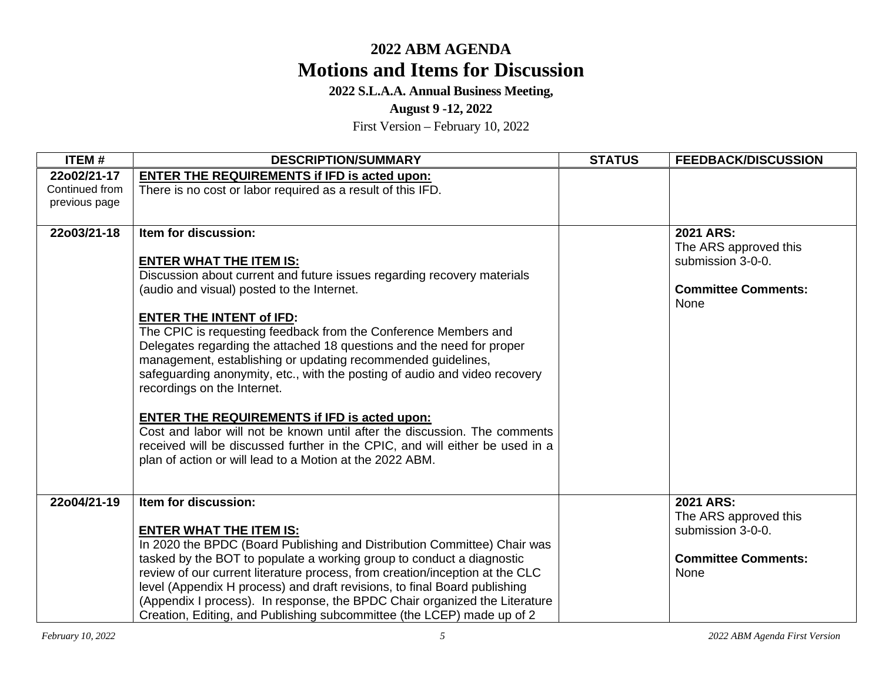**2022 S.L.A.A. Annual Business Meeting,** 

**August 9 -12, 2022** 

| ITEM#                         | <b>DESCRIPTION/SUMMARY</b>                                                                                                                 | <b>STATUS</b> | <b>FEEDBACK/DISCUSSION</b>         |
|-------------------------------|--------------------------------------------------------------------------------------------------------------------------------------------|---------------|------------------------------------|
| 22o02/21-17<br>Continued from | <b>ENTER THE REQUIREMENTS if IFD is acted upon:</b><br>There is no cost or labor required as a result of this IFD.                         |               |                                    |
| previous page                 |                                                                                                                                            |               |                                    |
|                               |                                                                                                                                            |               |                                    |
| 22o03/21-18                   | Item for discussion:                                                                                                                       |               | 2021 ARS:<br>The ARS approved this |
|                               | <b>ENTER WHAT THE ITEM IS:</b>                                                                                                             |               | submission 3-0-0.                  |
|                               | Discussion about current and future issues regarding recovery materials                                                                    |               |                                    |
|                               | (audio and visual) posted to the Internet.                                                                                                 |               | <b>Committee Comments:</b><br>None |
|                               | <b>ENTER THE INTENT of IFD:</b>                                                                                                            |               |                                    |
|                               | The CPIC is requesting feedback from the Conference Members and                                                                            |               |                                    |
|                               | Delegates regarding the attached 18 questions and the need for proper                                                                      |               |                                    |
|                               | management, establishing or updating recommended guidelines,<br>safequarding anonymity, etc., with the posting of audio and video recovery |               |                                    |
|                               | recordings on the Internet.                                                                                                                |               |                                    |
|                               |                                                                                                                                            |               |                                    |
|                               | <b>ENTER THE REQUIREMENTS if IFD is acted upon:</b>                                                                                        |               |                                    |
|                               | Cost and labor will not be known until after the discussion. The comments                                                                  |               |                                    |
|                               | received will be discussed further in the CPIC, and will either be used in a                                                               |               |                                    |
|                               | plan of action or will lead to a Motion at the 2022 ABM.                                                                                   |               |                                    |
|                               |                                                                                                                                            |               |                                    |
| 22o04/21-19                   | Item for discussion:                                                                                                                       |               | 2021 ARS:                          |
|                               |                                                                                                                                            |               | The ARS approved this              |
|                               | <b>ENTER WHAT THE ITEM IS:</b><br>In 2020 the BPDC (Board Publishing and Distribution Committee) Chair was                                 |               | submission 3-0-0.                  |
|                               | tasked by the BOT to populate a working group to conduct a diagnostic                                                                      |               | <b>Committee Comments:</b>         |
|                               | review of our current literature process, from creation/inception at the CLC                                                               |               | None                               |
|                               | level (Appendix H process) and draft revisions, to final Board publishing                                                                  |               |                                    |
|                               | (Appendix I process). In response, the BPDC Chair organized the Literature                                                                 |               |                                    |
|                               | Creation, Editing, and Publishing subcommittee (the LCEP) made up of 2                                                                     |               |                                    |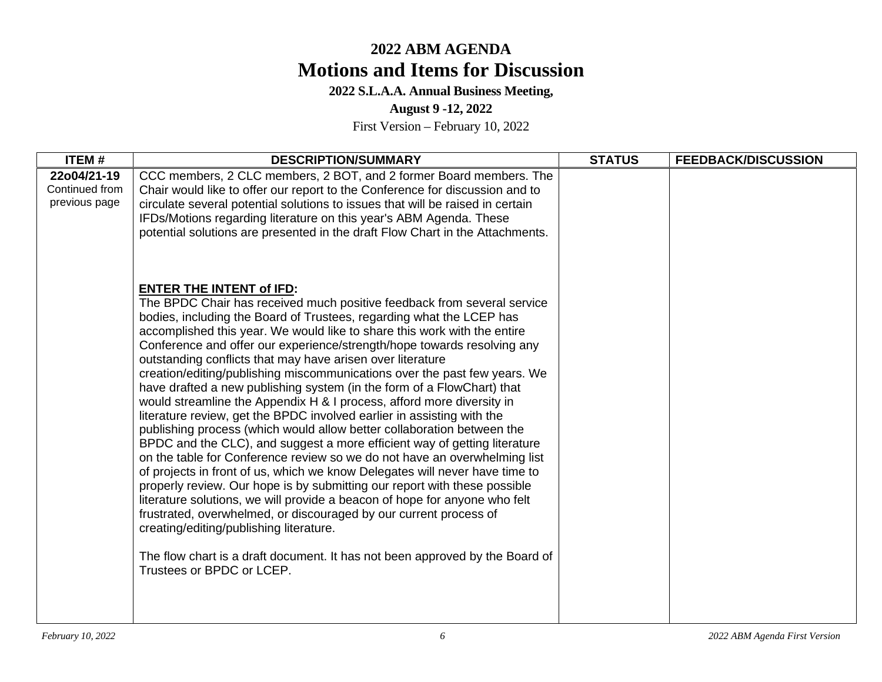## **2022 S.L.A.A. Annual Business Meeting,**

**August 9 -12, 2022** 

| <b>ITEM#</b>                                   | <b>DESCRIPTION/SUMMARY</b>                                                                                                                                                                                                                                                                                                                                                                                                                                                                                                                                                                                                                                                                                                                                                                                                                                                                                                                                                                                                                                                                                                                                                                                                                                                                                                                                                                                                   | <b>STATUS</b> | <b>FEEDBACK/DISCUSSION</b> |
|------------------------------------------------|------------------------------------------------------------------------------------------------------------------------------------------------------------------------------------------------------------------------------------------------------------------------------------------------------------------------------------------------------------------------------------------------------------------------------------------------------------------------------------------------------------------------------------------------------------------------------------------------------------------------------------------------------------------------------------------------------------------------------------------------------------------------------------------------------------------------------------------------------------------------------------------------------------------------------------------------------------------------------------------------------------------------------------------------------------------------------------------------------------------------------------------------------------------------------------------------------------------------------------------------------------------------------------------------------------------------------------------------------------------------------------------------------------------------------|---------------|----------------------------|
| 22o04/21-19<br>Continued from<br>previous page | CCC members, 2 CLC members, 2 BOT, and 2 former Board members. The<br>Chair would like to offer our report to the Conference for discussion and to<br>circulate several potential solutions to issues that will be raised in certain<br>IFDs/Motions regarding literature on this year's ABM Agenda. These<br>potential solutions are presented in the draft Flow Chart in the Attachments.                                                                                                                                                                                                                                                                                                                                                                                                                                                                                                                                                                                                                                                                                                                                                                                                                                                                                                                                                                                                                                  |               |                            |
|                                                | <b>ENTER THE INTENT of IFD:</b><br>The BPDC Chair has received much positive feedback from several service<br>bodies, including the Board of Trustees, regarding what the LCEP has<br>accomplished this year. We would like to share this work with the entire<br>Conference and offer our experience/strength/hope towards resolving any<br>outstanding conflicts that may have arisen over literature<br>creation/editing/publishing miscommunications over the past few years. We<br>have drafted a new publishing system (in the form of a FlowChart) that<br>would streamline the Appendix H & I process, afford more diversity in<br>literature review, get the BPDC involved earlier in assisting with the<br>publishing process (which would allow better collaboration between the<br>BPDC and the CLC), and suggest a more efficient way of getting literature<br>on the table for Conference review so we do not have an overwhelming list<br>of projects in front of us, which we know Delegates will never have time to<br>properly review. Our hope is by submitting our report with these possible<br>literature solutions, we will provide a beacon of hope for anyone who felt<br>frustrated, overwhelmed, or discouraged by our current process of<br>creating/editing/publishing literature.<br>The flow chart is a draft document. It has not been approved by the Board of<br>Trustees or BPDC or LCEP. |               |                            |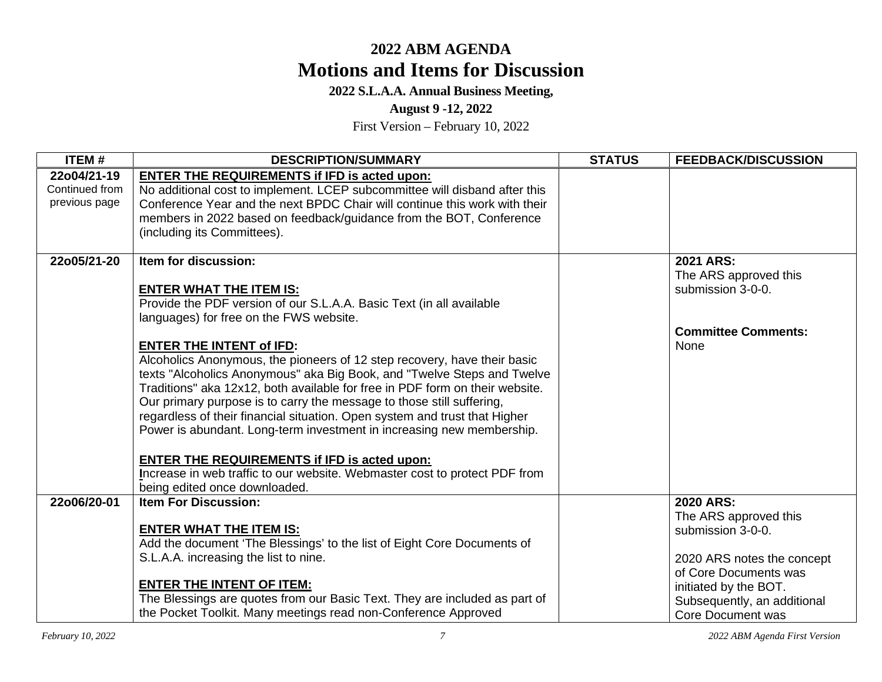## **2022 S.L.A.A. Annual Business Meeting,**

**August 9 -12, 2022** 

| <b>ITEM#</b>                                   | <b>DESCRIPTION/SUMMARY</b>                                                                                                                                                                                                                                                                                                                                                                                                    | <b>STATUS</b> | <b>FEEDBACK/DISCUSSION</b>                                                                                  |
|------------------------------------------------|-------------------------------------------------------------------------------------------------------------------------------------------------------------------------------------------------------------------------------------------------------------------------------------------------------------------------------------------------------------------------------------------------------------------------------|---------------|-------------------------------------------------------------------------------------------------------------|
| 22o04/21-19<br>Continued from<br>previous page | <b>ENTER THE REQUIREMENTS if IFD is acted upon:</b><br>No additional cost to implement. LCEP subcommittee will disband after this<br>Conference Year and the next BPDC Chair will continue this work with their                                                                                                                                                                                                               |               |                                                                                                             |
|                                                | members in 2022 based on feedback/guidance from the BOT, Conference<br>(including its Committees).                                                                                                                                                                                                                                                                                                                            |               |                                                                                                             |
| 22o05/21-20                                    | Item for discussion:<br><b>ENTER WHAT THE ITEM IS:</b>                                                                                                                                                                                                                                                                                                                                                                        |               | 2021 ARS:<br>The ARS approved this<br>submission 3-0-0.                                                     |
|                                                | Provide the PDF version of our S.L.A.A. Basic Text (in all available<br>languages) for free on the FWS website.                                                                                                                                                                                                                                                                                                               |               | <b>Committee Comments:</b>                                                                                  |
|                                                | <b>ENTER THE INTENT of IFD:</b><br>Alcoholics Anonymous, the pioneers of 12 step recovery, have their basic<br>texts "Alcoholics Anonymous" aka Big Book, and "Twelve Steps and Twelve<br>Traditions" aka 12x12, both available for free in PDF form on their website.<br>Our primary purpose is to carry the message to those still suffering,<br>regardless of their financial situation. Open system and trust that Higher |               | None                                                                                                        |
|                                                | Power is abundant. Long-term investment in increasing new membership.<br><b>ENTER THE REQUIREMENTS if IFD is acted upon:</b><br>Increase in web traffic to our website. Webmaster cost to protect PDF from<br>being edited once downloaded.                                                                                                                                                                                   |               |                                                                                                             |
| 22o06/20-01                                    | <b>Item For Discussion:</b><br><b>ENTER WHAT THE ITEM IS:</b><br>Add the document 'The Blessings' to the list of Eight Core Documents of                                                                                                                                                                                                                                                                                      |               | 2020 ARS:<br>The ARS approved this<br>submission 3-0-0.                                                     |
|                                                | S.L.A.A. increasing the list to nine.<br><b>ENTER THE INTENT OF ITEM:</b><br>The Blessings are quotes from our Basic Text. They are included as part of<br>the Pocket Toolkit. Many meetings read non-Conference Approved                                                                                                                                                                                                     |               | 2020 ARS notes the concept<br>of Core Documents was<br>initiated by the BOT.<br>Subsequently, an additional |
|                                                |                                                                                                                                                                                                                                                                                                                                                                                                                               |               | <b>Core Document was</b>                                                                                    |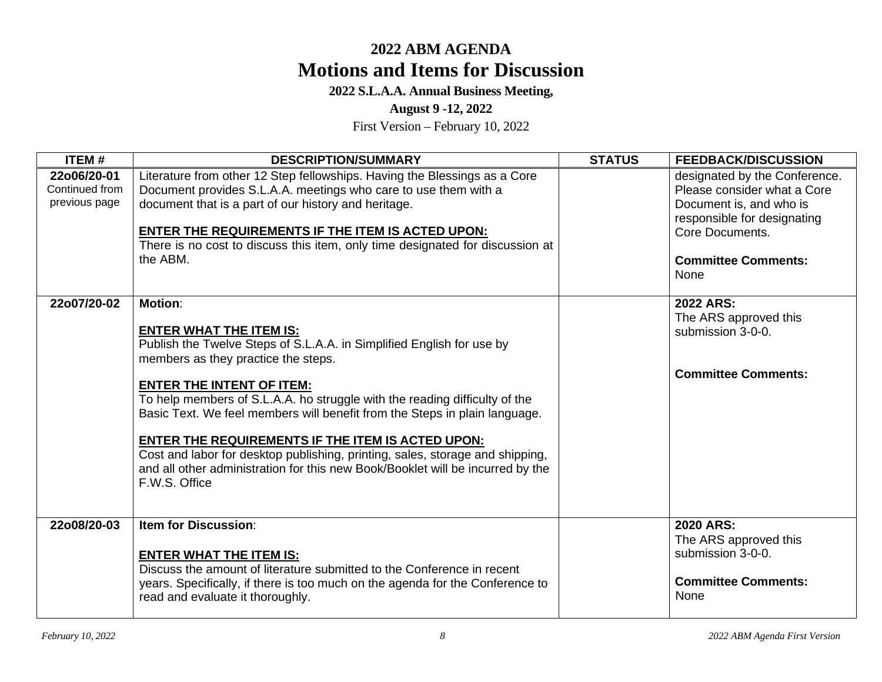## **2022 S.L.A.A. Annual Business Meeting,**

**August 9 -12, 2022** 

| ITEM#                                          | <b>DESCRIPTION/SUMMARY</b>                                                                                                                                                                                                                                                                                                                                                                                                                                                                                                                                                                                       | <b>STATUS</b> | <b>FEEDBACK/DISCUSSION</b>                                                                                                                                                      |
|------------------------------------------------|------------------------------------------------------------------------------------------------------------------------------------------------------------------------------------------------------------------------------------------------------------------------------------------------------------------------------------------------------------------------------------------------------------------------------------------------------------------------------------------------------------------------------------------------------------------------------------------------------------------|---------------|---------------------------------------------------------------------------------------------------------------------------------------------------------------------------------|
| 22o06/20-01<br>Continued from<br>previous page | Literature from other 12 Step fellowships. Having the Blessings as a Core<br>Document provides S.L.A.A. meetings who care to use them with a<br>document that is a part of our history and heritage.<br><b>ENTER THE REQUIREMENTS IF THE ITEM IS ACTED UPON:</b><br>There is no cost to discuss this item, only time designated for discussion at<br>the ABM.                                                                                                                                                                                                                                                    |               | designated by the Conference.<br>Please consider what a Core<br>Document is, and who is<br>responsible for designating<br>Core Documents.<br><b>Committee Comments:</b><br>None |
| 22o07/20-02                                    | <b>Motion:</b><br><b>ENTER WHAT THE ITEM IS:</b><br>Publish the Twelve Steps of S.L.A.A. in Simplified English for use by<br>members as they practice the steps.<br><b>ENTER THE INTENT OF ITEM:</b><br>To help members of S.L.A.A. ho struggle with the reading difficulty of the<br>Basic Text. We feel members will benefit from the Steps in plain language.<br><b>ENTER THE REQUIREMENTS IF THE ITEM IS ACTED UPON:</b><br>Cost and labor for desktop publishing, printing, sales, storage and shipping,<br>and all other administration for this new Book/Booklet will be incurred by the<br>F.W.S. Office |               | 2022 ARS:<br>The ARS approved this<br>submission 3-0-0.<br><b>Committee Comments:</b>                                                                                           |
| 22o08/20-03                                    | <b>Item for Discussion:</b><br><b>ENTER WHAT THE ITEM IS:</b><br>Discuss the amount of literature submitted to the Conference in recent<br>years. Specifically, if there is too much on the agenda for the Conference to<br>read and evaluate it thoroughly.                                                                                                                                                                                                                                                                                                                                                     |               | 2020 ARS:<br>The ARS approved this<br>submission 3-0-0.<br><b>Committee Comments:</b><br>None                                                                                   |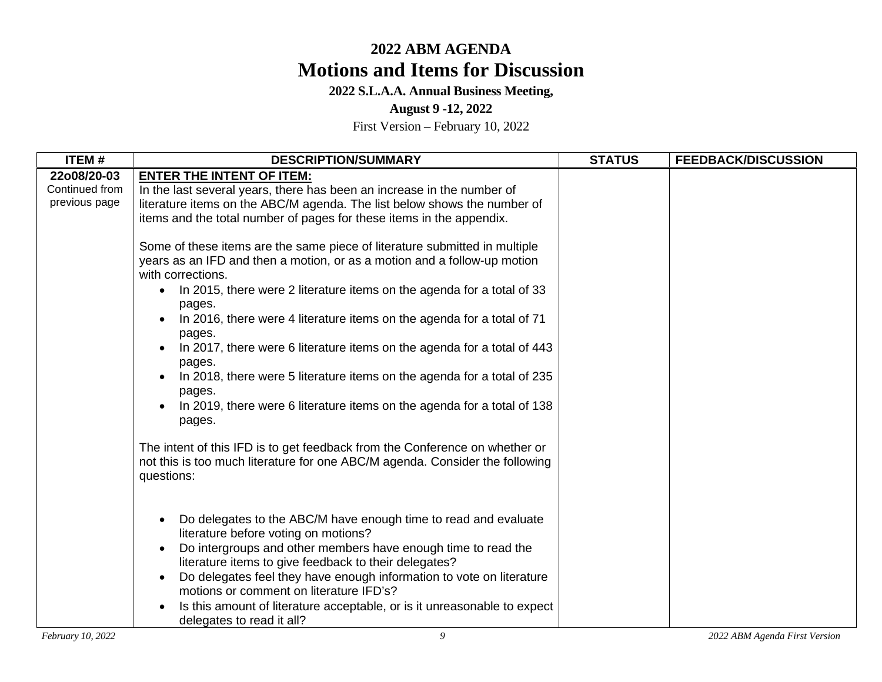## **2022 S.L.A.A. Annual Business Meeting,**

### **August 9 -12, 2022**

| <b>ITEM#</b>                                   | <b>DESCRIPTION/SUMMARY</b>                                                                                                                                                                                                                                                                                                                                                                                                                                                                                                                                                                                                                                                                                                                                                                         | <b>STATUS</b> | <b>FEEDBACK/DISCUSSION</b> |
|------------------------------------------------|----------------------------------------------------------------------------------------------------------------------------------------------------------------------------------------------------------------------------------------------------------------------------------------------------------------------------------------------------------------------------------------------------------------------------------------------------------------------------------------------------------------------------------------------------------------------------------------------------------------------------------------------------------------------------------------------------------------------------------------------------------------------------------------------------|---------------|----------------------------|
| 22o08/20-03<br>Continued from<br>previous page | <b>ENTER THE INTENT OF ITEM:</b><br>In the last several years, there has been an increase in the number of<br>literature items on the ABC/M agenda. The list below shows the number of<br>items and the total number of pages for these items in the appendix.<br>Some of these items are the same piece of literature submitted in multiple<br>years as an IFD and then a motion, or as a motion and a follow-up motion<br>with corrections.<br>In 2015, there were 2 literature items on the agenda for a total of 33<br>$\bullet$<br>pages.<br>In 2016, there were 4 literature items on the agenda for a total of 71<br>pages.<br>In 2017, there were 6 literature items on the agenda for a total of 443<br>pages.<br>In 2018, there were 5 literature items on the agenda for a total of 235 |               |                            |
|                                                | pages.<br>In 2019, there were 6 literature items on the agenda for a total of 138<br>pages.<br>The intent of this IFD is to get feedback from the Conference on whether or<br>not this is too much literature for one ABC/M agenda. Consider the following<br>questions:                                                                                                                                                                                                                                                                                                                                                                                                                                                                                                                           |               |                            |
|                                                | Do delegates to the ABC/M have enough time to read and evaluate<br>literature before voting on motions?<br>Do intergroups and other members have enough time to read the<br>literature items to give feedback to their delegates?<br>Do delegates feel they have enough information to vote on literature<br>motions or comment on literature IFD's?<br>Is this amount of literature acceptable, or is it unreasonable to expect<br>delegates to read it all?                                                                                                                                                                                                                                                                                                                                      |               |                            |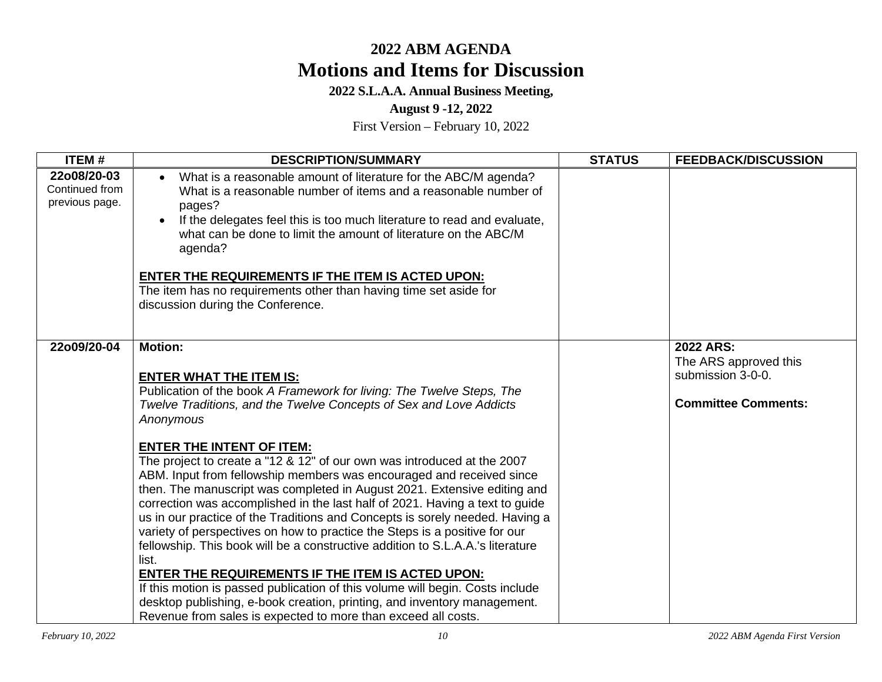## **2022 S.L.A.A. Annual Business Meeting,**

### **August 9 -12, 2022**

| <b>DESCRIPTION/SUMMARY</b>                                                                                                                                                                                                                                                                                                                                                                                                                                                                                                                                                                                                                                                                                                                                                                                                                                                                                                                                     | <b>STATUS</b>                                                                                                                             | <b>FEEDBACK/DISCUSSION</b>                                                            |
|----------------------------------------------------------------------------------------------------------------------------------------------------------------------------------------------------------------------------------------------------------------------------------------------------------------------------------------------------------------------------------------------------------------------------------------------------------------------------------------------------------------------------------------------------------------------------------------------------------------------------------------------------------------------------------------------------------------------------------------------------------------------------------------------------------------------------------------------------------------------------------------------------------------------------------------------------------------|-------------------------------------------------------------------------------------------------------------------------------------------|---------------------------------------------------------------------------------------|
| What is a reasonable amount of literature for the ABC/M agenda?<br>$\bullet$<br>What is a reasonable number of items and a reasonable number of<br>pages?<br>If the delegates feel this is too much literature to read and evaluate,<br>what can be done to limit the amount of literature on the ABC/M<br>agenda?<br><b>ENTER THE REQUIREMENTS IF THE ITEM IS ACTED UPON:</b><br>The item has no requirements other than having time set aside for<br>discussion during the Conference.                                                                                                                                                                                                                                                                                                                                                                                                                                                                       |                                                                                                                                           |                                                                                       |
| <b>Motion:</b><br><b>ENTER WHAT THE ITEM IS:</b><br>Publication of the book A Framework for living: The Twelve Steps, The<br>Twelve Traditions, and the Twelve Concepts of Sex and Love Addicts<br>Anonymous<br><b>ENTER THE INTENT OF ITEM:</b><br>The project to create a "12 & 12" of our own was introduced at the 2007<br>ABM. Input from fellowship members was encouraged and received since<br>then. The manuscript was completed in August 2021. Extensive editing and<br>correction was accomplished in the last half of 2021. Having a text to guide<br>us in our practice of the Traditions and Concepts is sorely needed. Having a<br>variety of perspectives on how to practice the Steps is a positive for our<br>fellowship. This book will be a constructive addition to S.L.A.A.'s literature<br>list.<br>ENTER THE REQUIREMENTS IF THE ITEM IS ACTED UPON:<br>If this motion is passed publication of this volume will begin. Costs include |                                                                                                                                           | 2022 ARS:<br>The ARS approved this<br>submission 3-0-0.<br><b>Committee Comments:</b> |
|                                                                                                                                                                                                                                                                                                                                                                                                                                                                                                                                                                                                                                                                                                                                                                                                                                                                                                                                                                | desktop publishing, e-book creation, printing, and inventory management.<br>Revenue from sales is expected to more than exceed all costs. |                                                                                       |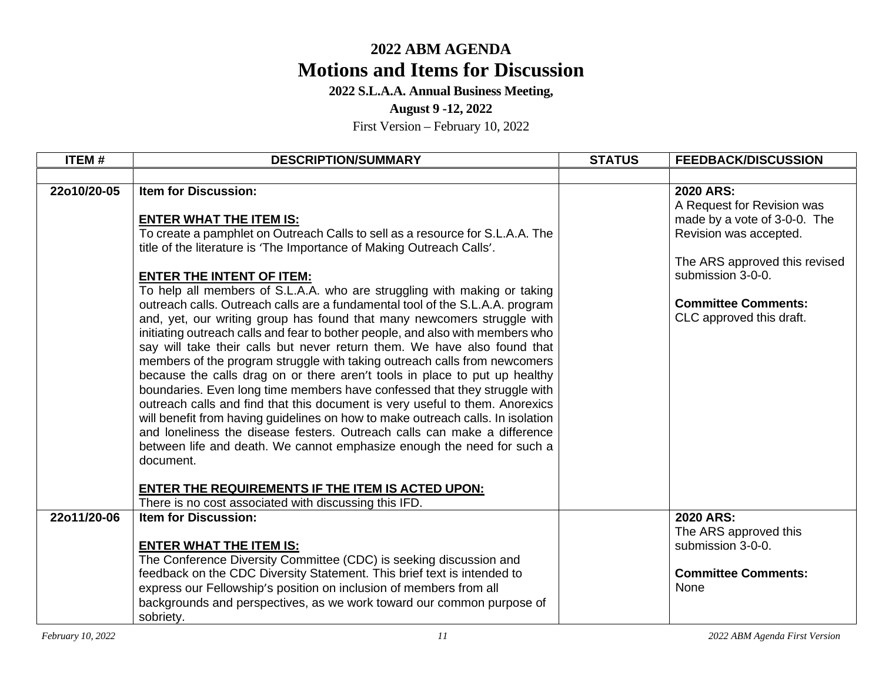**2022 S.L.A.A. Annual Business Meeting,** 

### **August 9 -12, 2022**

| <b>ITEM#</b> | <b>DESCRIPTION/SUMMARY</b>                                                                                   | <b>STATUS</b> | <b>FEEDBACK/DISCUSSION</b>                         |
|--------------|--------------------------------------------------------------------------------------------------------------|---------------|----------------------------------------------------|
|              |                                                                                                              |               |                                                    |
| 22o10/20-05  | <b>Item for Discussion:</b>                                                                                  |               | 2020 ARS:                                          |
|              |                                                                                                              |               | A Request for Revision was                         |
|              | <b>ENTER WHAT THE ITEM IS:</b>                                                                               |               | made by a vote of 3-0-0. The                       |
|              | To create a pamphlet on Outreach Calls to sell as a resource for S.L.A.A. The                                |               | Revision was accepted.                             |
|              | title of the literature is 'The Importance of Making Outreach Calls'.                                        |               |                                                    |
|              |                                                                                                              |               | The ARS approved this revised<br>submission 3-0-0. |
|              | <b>ENTER THE INTENT OF ITEM:</b><br>To help all members of S.L.A.A. who are struggling with making or taking |               |                                                    |
|              | outreach calls. Outreach calls are a fundamental tool of the S.L.A.A. program                                |               | <b>Committee Comments:</b>                         |
|              | and, yet, our writing group has found that many newcomers struggle with                                      |               | CLC approved this draft.                           |
|              | initiating outreach calls and fear to bother people, and also with members who                               |               |                                                    |
|              | say will take their calls but never return them. We have also found that                                     |               |                                                    |
|              | members of the program struggle with taking outreach calls from newcomers                                    |               |                                                    |
|              | because the calls drag on or there aren't tools in place to put up healthy                                   |               |                                                    |
|              | boundaries. Even long time members have confessed that they struggle with                                    |               |                                                    |
|              | outreach calls and find that this document is very useful to them. Anorexics                                 |               |                                                    |
|              | will benefit from having guidelines on how to make outreach calls. In isolation                              |               |                                                    |
|              | and loneliness the disease festers. Outreach calls can make a difference                                     |               |                                                    |
|              | between life and death. We cannot emphasize enough the need for such a                                       |               |                                                    |
|              | document.                                                                                                    |               |                                                    |
|              | <b>ENTER THE REQUIREMENTS IF THE ITEM IS ACTED UPON:</b>                                                     |               |                                                    |
|              | There is no cost associated with discussing this IFD.                                                        |               |                                                    |
| 22o11/20-06  | <b>Item for Discussion:</b>                                                                                  |               | 2020 ARS:                                          |
|              |                                                                                                              |               | The ARS approved this                              |
|              | <b>ENTER WHAT THE ITEM IS:</b>                                                                               |               | submission 3-0-0.                                  |
|              | The Conference Diversity Committee (CDC) is seeking discussion and                                           |               |                                                    |
|              | feedback on the CDC Diversity Statement. This brief text is intended to                                      |               | <b>Committee Comments:</b>                         |
|              | express our Fellowship's position on inclusion of members from all                                           |               | None                                               |
|              | backgrounds and perspectives, as we work toward our common purpose of                                        |               |                                                    |
|              | sobriety.                                                                                                    |               |                                                    |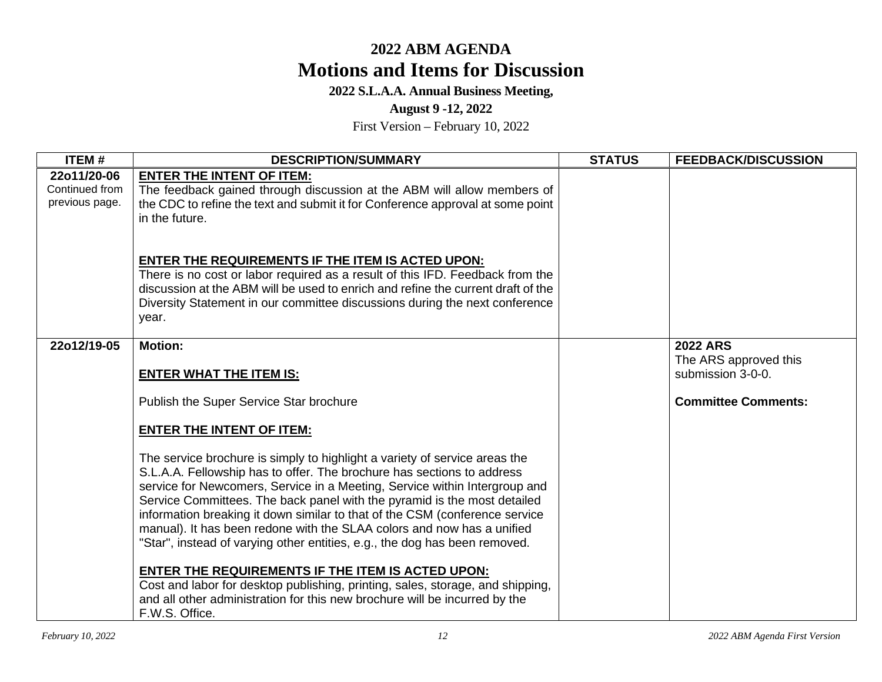## **2022 S.L.A.A. Annual Business Meeting,**

### **August 9 -12, 2022**

| ITEM#                                           | <b>DESCRIPTION/SUMMARY</b>                                                                                                                                                                                                                                                                                                                                                                                                                                                                                                                            | <b>STATUS</b> | <b>FEEDBACK/DISCUSSION</b>                 |
|-------------------------------------------------|-------------------------------------------------------------------------------------------------------------------------------------------------------------------------------------------------------------------------------------------------------------------------------------------------------------------------------------------------------------------------------------------------------------------------------------------------------------------------------------------------------------------------------------------------------|---------------|--------------------------------------------|
| 22o11/20-06<br>Continued from<br>previous page. | <b>ENTER THE INTENT OF ITEM:</b><br>The feedback gained through discussion at the ABM will allow members of<br>the CDC to refine the text and submit it for Conference approval at some point<br>in the future.                                                                                                                                                                                                                                                                                                                                       |               |                                            |
|                                                 | <b>ENTER THE REQUIREMENTS IF THE ITEM IS ACTED UPON:</b><br>There is no cost or labor required as a result of this IFD. Feedback from the<br>discussion at the ABM will be used to enrich and refine the current draft of the<br>Diversity Statement in our committee discussions during the next conference<br>year.                                                                                                                                                                                                                                 |               |                                            |
| 22o12/19-05                                     | <b>Motion:</b>                                                                                                                                                                                                                                                                                                                                                                                                                                                                                                                                        |               | <b>2022 ARS</b>                            |
|                                                 | <b>ENTER WHAT THE ITEM IS:</b>                                                                                                                                                                                                                                                                                                                                                                                                                                                                                                                        |               | The ARS approved this<br>submission 3-0-0. |
|                                                 | Publish the Super Service Star brochure                                                                                                                                                                                                                                                                                                                                                                                                                                                                                                               |               | <b>Committee Comments:</b>                 |
|                                                 | <b>ENTER THE INTENT OF ITEM:</b>                                                                                                                                                                                                                                                                                                                                                                                                                                                                                                                      |               |                                            |
|                                                 | The service brochure is simply to highlight a variety of service areas the<br>S.L.A.A. Fellowship has to offer. The brochure has sections to address<br>service for Newcomers, Service in a Meeting, Service within Intergroup and<br>Service Committees. The back panel with the pyramid is the most detailed<br>information breaking it down similar to that of the CSM (conference service<br>manual). It has been redone with the SLAA colors and now has a unified<br>"Star", instead of varying other entities, e.g., the dog has been removed. |               |                                            |
|                                                 | <b>ENTER THE REQUIREMENTS IF THE ITEM IS ACTED UPON:</b><br>Cost and labor for desktop publishing, printing, sales, storage, and shipping,<br>and all other administration for this new brochure will be incurred by the<br>F.W.S. Office.                                                                                                                                                                                                                                                                                                            |               |                                            |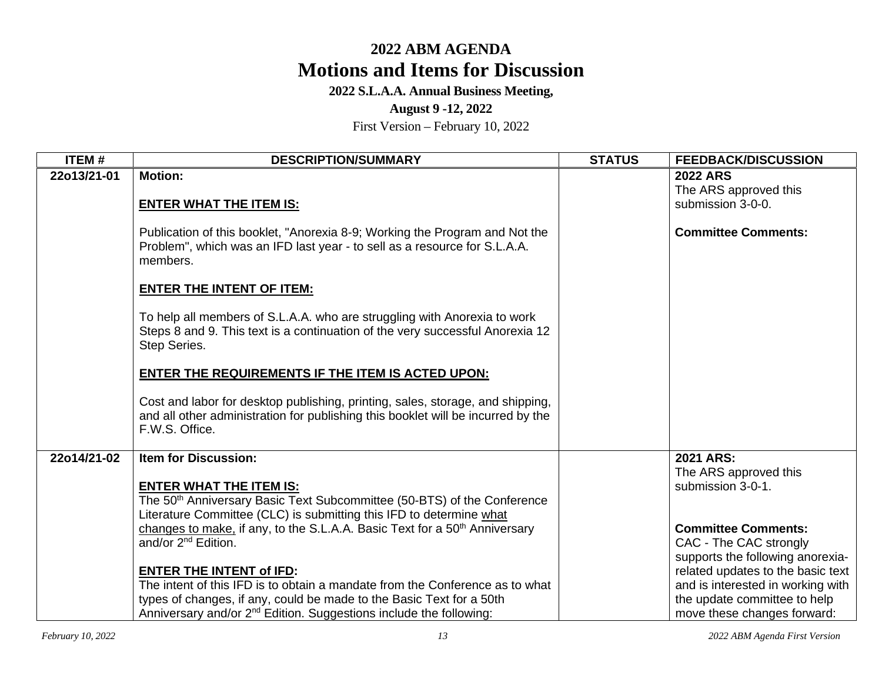### **2022 S.L.A.A. Annual Business Meeting,**

### **August 9 -12, 2022**

| <b>ITEM#</b> | <b>DESCRIPTION/SUMMARY</b>                                                                                                                                                           | <b>STATUS</b> | <b>FEEDBACK/DISCUSSION</b>        |
|--------------|--------------------------------------------------------------------------------------------------------------------------------------------------------------------------------------|---------------|-----------------------------------|
| 22o13/21-01  | <b>Motion:</b>                                                                                                                                                                       |               | <b>2022 ARS</b>                   |
|              |                                                                                                                                                                                      |               | The ARS approved this             |
|              | <b>ENTER WHAT THE ITEM IS:</b>                                                                                                                                                       |               | submission 3-0-0.                 |
|              | Publication of this booklet, "Anorexia 8-9; Working the Program and Not the<br>Problem", which was an IFD last year - to sell as a resource for S.L.A.A.<br>members.                 |               | <b>Committee Comments:</b>        |
|              | <b>ENTER THE INTENT OF ITEM:</b>                                                                                                                                                     |               |                                   |
|              | To help all members of S.L.A.A. who are struggling with Anorexia to work<br>Steps 8 and 9. This text is a continuation of the very successful Anorexia 12<br>Step Series.            |               |                                   |
|              | <b>ENTER THE REQUIREMENTS IF THE ITEM IS ACTED UPON:</b>                                                                                                                             |               |                                   |
|              | Cost and labor for desktop publishing, printing, sales, storage, and shipping,<br>and all other administration for publishing this booklet will be incurred by the<br>F.W.S. Office. |               |                                   |
| 22o14/21-02  | <b>Item for Discussion:</b>                                                                                                                                                          |               | 2021 ARS:                         |
|              |                                                                                                                                                                                      |               | The ARS approved this             |
|              | <b>ENTER WHAT THE ITEM IS:</b>                                                                                                                                                       |               | submission 3-0-1.                 |
|              | The 50 <sup>th</sup> Anniversary Basic Text Subcommittee (50-BTS) of the Conference                                                                                                  |               |                                   |
|              | Literature Committee (CLC) is submitting this IFD to determine what<br>changes to make, if any, to the S.L.A.A. Basic Text for a 50 <sup>th</sup> Anniversary                        |               | <b>Committee Comments:</b>        |
|              | and/or 2 <sup>nd</sup> Edition.                                                                                                                                                      |               | CAC - The CAC strongly            |
|              |                                                                                                                                                                                      |               | supports the following anorexia-  |
|              | <b>ENTER THE INTENT of IFD:</b>                                                                                                                                                      |               | related updates to the basic text |
|              | The intent of this IFD is to obtain a mandate from the Conference as to what                                                                                                         |               | and is interested in working with |
|              | types of changes, if any, could be made to the Basic Text for a 50th                                                                                                                 |               | the update committee to help      |
|              | Anniversary and/or 2 <sup>nd</sup> Edition. Suggestions include the following:                                                                                                       |               | move these changes forward:       |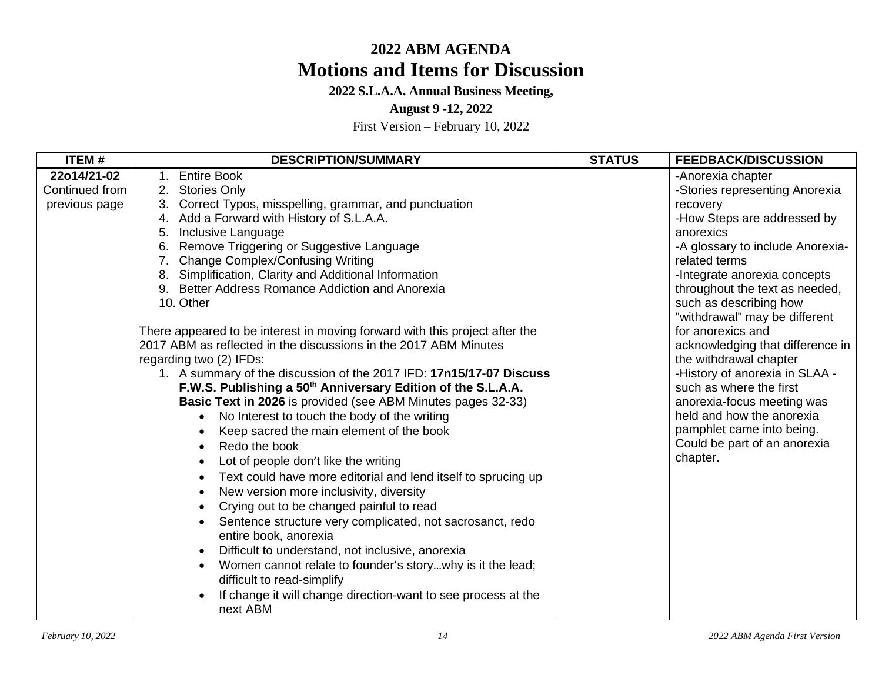## **2022 S.L.A.A. Annual Business Meeting,**

### **August 9 -12, 2022**

| <b>ITEM#</b>                                   | <b>DESCRIPTION/SUMMARY</b>                                                                                                                                                                                                                                                                                                                                                                                                                                                                                                                                                                                                                                                                                                                                                                                                                                                                                                                                                                                                                                                                                                                                                                                                                                                                                                                                                                                               | <b>STATUS</b> | <b>FEEDBACK/DISCUSSION</b>                                                                                                                                                                                                                                                                                                                                                                                                                                                                                                                                                        |
|------------------------------------------------|--------------------------------------------------------------------------------------------------------------------------------------------------------------------------------------------------------------------------------------------------------------------------------------------------------------------------------------------------------------------------------------------------------------------------------------------------------------------------------------------------------------------------------------------------------------------------------------------------------------------------------------------------------------------------------------------------------------------------------------------------------------------------------------------------------------------------------------------------------------------------------------------------------------------------------------------------------------------------------------------------------------------------------------------------------------------------------------------------------------------------------------------------------------------------------------------------------------------------------------------------------------------------------------------------------------------------------------------------------------------------------------------------------------------------|---------------|-----------------------------------------------------------------------------------------------------------------------------------------------------------------------------------------------------------------------------------------------------------------------------------------------------------------------------------------------------------------------------------------------------------------------------------------------------------------------------------------------------------------------------------------------------------------------------------|
| 22o14/21-02<br>Continued from<br>previous page | 1. Entire Book<br>2. Stories Only<br>3. Correct Typos, misspelling, grammar, and punctuation<br>4. Add a Forward with History of S.L.A.A.<br>Inclusive Language<br>5.<br>Remove Triggering or Suggestive Language<br>6.<br>7. Change Complex/Confusing Writing<br>8. Simplification, Clarity and Additional Information<br>9. Better Address Romance Addiction and Anorexia<br>10. Other<br>There appeared to be interest in moving forward with this project after the<br>2017 ABM as reflected in the discussions in the 2017 ABM Minutes<br>regarding two (2) IFDs:<br>1. A summary of the discussion of the 2017 IFD: 17n15/17-07 Discuss<br>F.W.S. Publishing a 50 <sup>th</sup> Anniversary Edition of the S.L.A.A.<br>Basic Text in 2026 is provided (see ABM Minutes pages 32-33)<br>No Interest to touch the body of the writing<br>Keep sacred the main element of the book<br>Redo the book<br>Lot of people don't like the writing<br>Text could have more editorial and lend itself to sprucing up<br>New version more inclusivity, diversity<br>Crying out to be changed painful to read<br>Sentence structure very complicated, not sacrosanct, redo<br>entire book, anorexia<br>Difficult to understand, not inclusive, anorexia<br>Women cannot relate to founder's storywhy is it the lead;<br>difficult to read-simplify<br>If change it will change direction-want to see process at the<br>next ABM |               | -Anorexia chapter<br>-Stories representing Anorexia<br>recovery<br>-How Steps are addressed by<br>anorexics<br>-A glossary to include Anorexia-<br>related terms<br>-Integrate anorexia concepts<br>throughout the text as needed,<br>such as describing how<br>"withdrawal" may be different<br>for anorexics and<br>acknowledging that difference in<br>the withdrawal chapter<br>-History of anorexia in SLAA -<br>such as where the first<br>anorexia-focus meeting was<br>held and how the anorexia<br>pamphlet came into being.<br>Could be part of an anorexia<br>chapter. |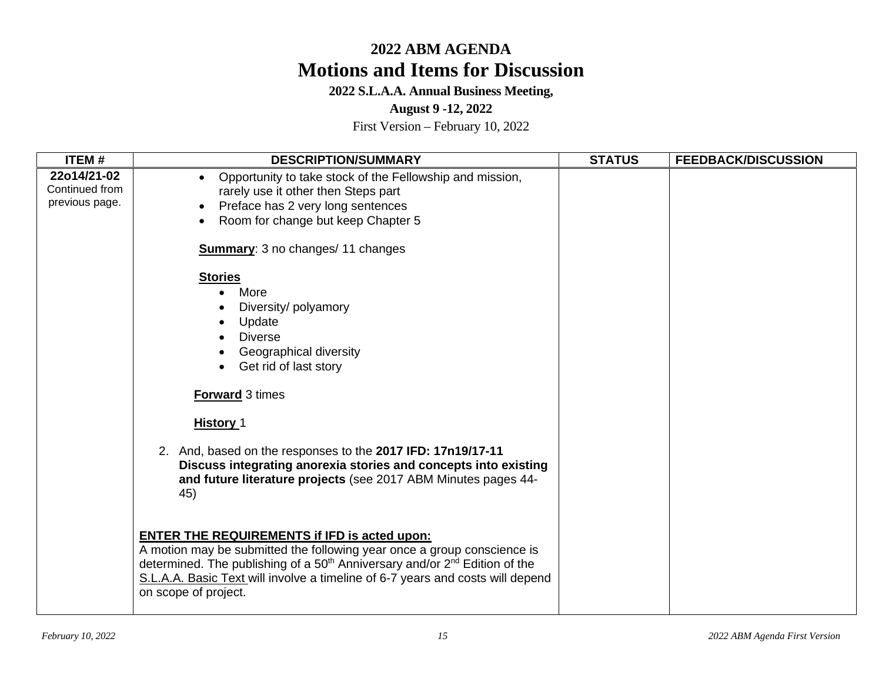**2022 S.L.A.A. Annual Business Meeting,** 

**August 9 -12, 2022** 

| <b>ITEM#</b>                                    | <b>DESCRIPTION/SUMMARY</b>                                                                                                                                                                                                                                                                                                                                                            | <b>STATUS</b> | <b>FEEDBACK/DISCUSSION</b> |
|-------------------------------------------------|---------------------------------------------------------------------------------------------------------------------------------------------------------------------------------------------------------------------------------------------------------------------------------------------------------------------------------------------------------------------------------------|---------------|----------------------------|
| 22o14/21-02<br>Continued from<br>previous page. | Opportunity to take stock of the Fellowship and mission,<br>rarely use it other then Steps part<br>Preface has 2 very long sentences<br>Room for change but keep Chapter 5                                                                                                                                                                                                            |               |                            |
|                                                 | <b>Summary: 3 no changes/ 11 changes</b>                                                                                                                                                                                                                                                                                                                                              |               |                            |
|                                                 | <b>Stories</b><br>More<br>Diversity/polyamory<br>Update<br><b>Diverse</b><br>Geographical diversity<br>Get rid of last story<br><b>Forward</b> 3 times<br><b>History 1</b><br>2. And, based on the responses to the 2017 IFD: 17n19/17-11<br>Discuss integrating anorexia stories and concepts into existing<br>and future literature projects (see 2017 ABM Minutes pages 44-<br>45) |               |                            |
|                                                 | <b>ENTER THE REQUIREMENTS if IFD is acted upon:</b><br>A motion may be submitted the following year once a group conscience is<br>determined. The publishing of a 50 <sup>th</sup> Anniversary and/or 2 <sup>nd</sup> Edition of the<br>S.L.A.A. Basic Text will involve a timeline of 6-7 years and costs will depend<br>on scope of project.                                        |               |                            |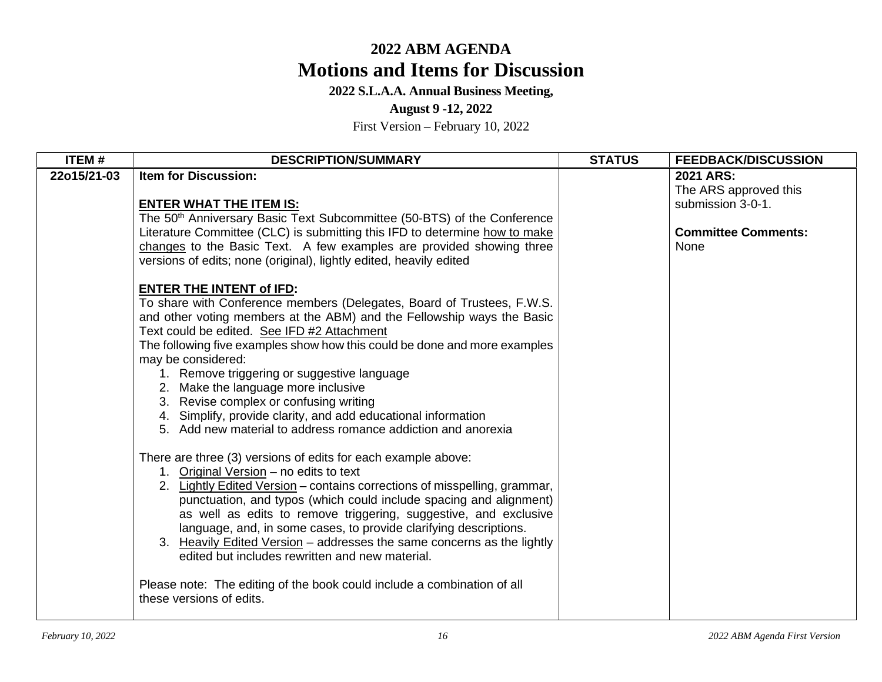### **2022 S.L.A.A. Annual Business Meeting,**

### **August 9 -12, 2022**

| ITEM#       | <b>DESCRIPTION/SUMMARY</b>                                                                                                                                                                                                                                                                                                                                                                                                                                                                                                                                                                                                              | <b>STATUS</b> | <b>FEEDBACK/DISCUSSION</b>                                                                    |
|-------------|-----------------------------------------------------------------------------------------------------------------------------------------------------------------------------------------------------------------------------------------------------------------------------------------------------------------------------------------------------------------------------------------------------------------------------------------------------------------------------------------------------------------------------------------------------------------------------------------------------------------------------------------|---------------|-----------------------------------------------------------------------------------------------|
| 22o15/21-03 | <b>Item for Discussion:</b><br><b>ENTER WHAT THE ITEM IS:</b><br>The 50 <sup>th</sup> Anniversary Basic Text Subcommittee (50-BTS) of the Conference<br>Literature Committee (CLC) is submitting this IFD to determine how to make<br>changes to the Basic Text. A few examples are provided showing three<br>versions of edits; none (original), lightly edited, heavily edited                                                                                                                                                                                                                                                        |               | 2021 ARS:<br>The ARS approved this<br>submission 3-0-1.<br><b>Committee Comments:</b><br>None |
|             | <b>ENTER THE INTENT of IFD:</b><br>To share with Conference members (Delegates, Board of Trustees, F.W.S.<br>and other voting members at the ABM) and the Fellowship ways the Basic<br>Text could be edited. See IFD #2 Attachment<br>The following five examples show how this could be done and more examples<br>may be considered:<br>1. Remove triggering or suggestive language<br>2. Make the language more inclusive<br>3. Revise complex or confusing writing<br>4. Simplify, provide clarity, and add educational information<br>5. Add new material to address romance addiction and anorexia                                 |               |                                                                                               |
|             | There are three (3) versions of edits for each example above:<br>1. Original Version - no edits to text<br>2. Lightly Edited Version – contains corrections of misspelling, grammar,<br>punctuation, and typos (which could include spacing and alignment)<br>as well as edits to remove triggering, suggestive, and exclusive<br>language, and, in some cases, to provide clarifying descriptions.<br>3. Heavily Edited Version – addresses the same concerns as the lightly<br>edited but includes rewritten and new material.<br>Please note: The editing of the book could include a combination of all<br>these versions of edits. |               |                                                                                               |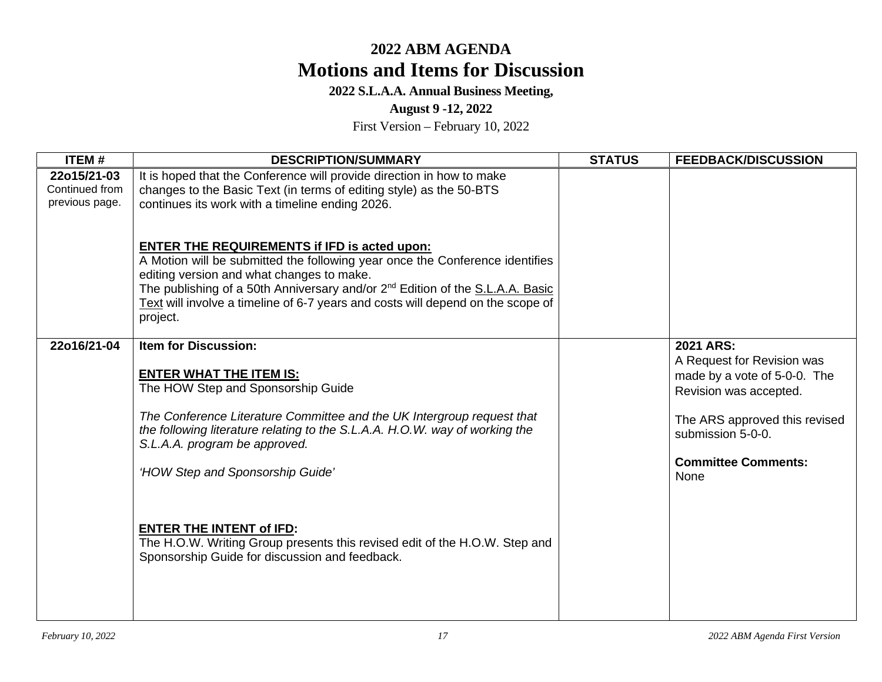## **2022 S.L.A.A. Annual Business Meeting,**

### **August 9 -12, 2022**

| <b>ITEM#</b>                                    | <b>DESCRIPTION/SUMMARY</b>                                                                                                                                                                                                                                                                                                                                                                                                                                                                           | <b>STATUS</b> | <b>FEEDBACK/DISCUSSION</b>                                                                                                                                                                           |
|-------------------------------------------------|------------------------------------------------------------------------------------------------------------------------------------------------------------------------------------------------------------------------------------------------------------------------------------------------------------------------------------------------------------------------------------------------------------------------------------------------------------------------------------------------------|---------------|------------------------------------------------------------------------------------------------------------------------------------------------------------------------------------------------------|
| 22o15/21-03<br>Continued from<br>previous page. | It is hoped that the Conference will provide direction in how to make<br>changes to the Basic Text (in terms of editing style) as the 50-BTS<br>continues its work with a timeline ending 2026.                                                                                                                                                                                                                                                                                                      |               |                                                                                                                                                                                                      |
|                                                 | <b>ENTER THE REQUIREMENTS if IFD is acted upon:</b><br>A Motion will be submitted the following year once the Conference identifies<br>editing version and what changes to make.<br>The publishing of a 50th Anniversary and/or 2 <sup>nd</sup> Edition of the <b>S.L.A.A. Basic</b><br>Text will involve a timeline of 6-7 years and costs will depend on the scope of<br>project.                                                                                                                  |               |                                                                                                                                                                                                      |
| 22o16/21-04                                     | <b>Item for Discussion:</b><br><b>ENTER WHAT THE ITEM IS:</b><br>The HOW Step and Sponsorship Guide<br>The Conference Literature Committee and the UK Intergroup request that<br>the following literature relating to the S.L.A.A. H.O.W. way of working the<br>S.L.A.A. program be approved.<br>'HOW Step and Sponsorship Guide'<br><b>ENTER THE INTENT of IFD:</b><br>The H.O.W. Writing Group presents this revised edit of the H.O.W. Step and<br>Sponsorship Guide for discussion and feedback. |               | 2021 ARS:<br>A Request for Revision was<br>made by a vote of 5-0-0. The<br>Revision was accepted.<br>The ARS approved this revised<br>submission 5-0-0.<br><b>Committee Comments:</b><br><b>None</b> |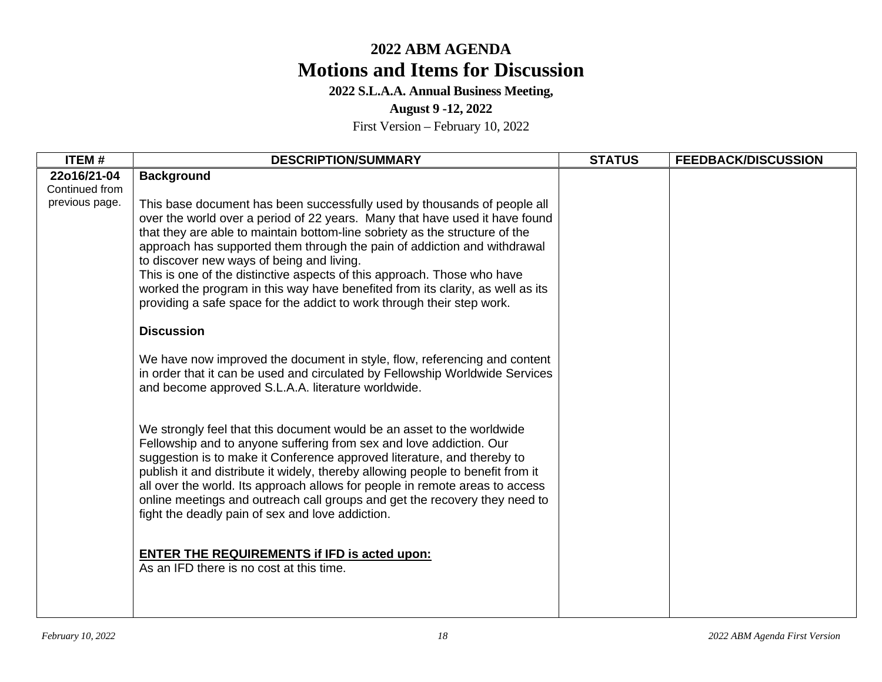## **2022 S.L.A.A. Annual Business Meeting,**

### **August 9 -12, 2022**

| ITEM#                                           | <b>DESCRIPTION/SUMMARY</b>                                                                                                                                                                                                                                                                                                                                                                                                                                                                                                                                                                                                                                                                                                                                             | <b>STATUS</b> | <b>FEEDBACK/DISCUSSION</b> |
|-------------------------------------------------|------------------------------------------------------------------------------------------------------------------------------------------------------------------------------------------------------------------------------------------------------------------------------------------------------------------------------------------------------------------------------------------------------------------------------------------------------------------------------------------------------------------------------------------------------------------------------------------------------------------------------------------------------------------------------------------------------------------------------------------------------------------------|---------------|----------------------------|
| 22o16/21-04<br>Continued from<br>previous page. | <b>Background</b><br>This base document has been successfully used by thousands of people all<br>over the world over a period of 22 years. Many that have used it have found<br>that they are able to maintain bottom-line sobriety as the structure of the<br>approach has supported them through the pain of addiction and withdrawal<br>to discover new ways of being and living.<br>This is one of the distinctive aspects of this approach. Those who have<br>worked the program in this way have benefited from its clarity, as well as its<br>providing a safe space for the addict to work through their step work.<br><b>Discussion</b><br>We have now improved the document in style, flow, referencing and content                                          |               |                            |
|                                                 | in order that it can be used and circulated by Fellowship Worldwide Services<br>and become approved S.L.A.A. literature worldwide.<br>We strongly feel that this document would be an asset to the worldwide<br>Fellowship and to anyone suffering from sex and love addiction. Our<br>suggestion is to make it Conference approved literature, and thereby to<br>publish it and distribute it widely, thereby allowing people to benefit from it<br>all over the world. Its approach allows for people in remote areas to access<br>online meetings and outreach call groups and get the recovery they need to<br>fight the deadly pain of sex and love addiction.<br><b>ENTER THE REQUIREMENTS if IFD is acted upon:</b><br>As an IFD there is no cost at this time. |               |                            |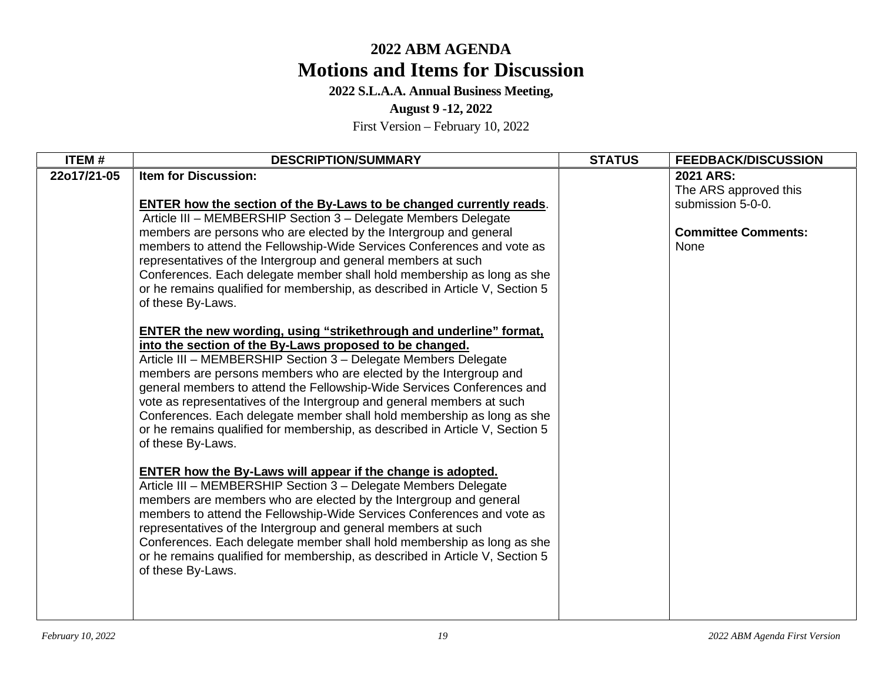**2022 S.L.A.A. Annual Business Meeting,** 

**August 9 -12, 2022** 

| ITEM#       | <b>DESCRIPTION/SUMMARY</b>                                                                                                                                                                                                                                                                                                                                                                                                                                                                                                                                                                                    | <b>STATUS</b> | <b>FEEDBACK/DISCUSSION</b>                                                                    |
|-------------|---------------------------------------------------------------------------------------------------------------------------------------------------------------------------------------------------------------------------------------------------------------------------------------------------------------------------------------------------------------------------------------------------------------------------------------------------------------------------------------------------------------------------------------------------------------------------------------------------------------|---------------|-----------------------------------------------------------------------------------------------|
| 22o17/21-05 | <b>Item for Discussion:</b><br>ENTER how the section of the By-Laws to be changed currently reads.<br>Article III - MEMBERSHIP Section 3 - Delegate Members Delegate<br>members are persons who are elected by the Intergroup and general<br>members to attend the Fellowship-Wide Services Conferences and vote as<br>representatives of the Intergroup and general members at such<br>Conferences. Each delegate member shall hold membership as long as she<br>or he remains qualified for membership, as described in Article V, Section 5<br>of these By-Laws.                                           |               | 2021 ARS:<br>The ARS approved this<br>submission 5-0-0.<br><b>Committee Comments:</b><br>None |
|             | <b>ENTER the new wording, using "strikethrough and underline" format,</b><br>into the section of the By-Laws proposed to be changed.<br>Article III - MEMBERSHIP Section 3 - Delegate Members Delegate<br>members are persons members who are elected by the Intergroup and<br>general members to attend the Fellowship-Wide Services Conferences and<br>vote as representatives of the Intergroup and general members at such<br>Conferences. Each delegate member shall hold membership as long as she<br>or he remains qualified for membership, as described in Article V, Section 5<br>of these By-Laws. |               |                                                                                               |
|             | ENTER how the By-Laws will appear if the change is adopted.<br>Article III - MEMBERSHIP Section 3 - Delegate Members Delegate<br>members are members who are elected by the Intergroup and general<br>members to attend the Fellowship-Wide Services Conferences and vote as<br>representatives of the Intergroup and general members at such<br>Conferences. Each delegate member shall hold membership as long as she<br>or he remains qualified for membership, as described in Article V, Section 5<br>of these By-Laws.                                                                                  |               |                                                                                               |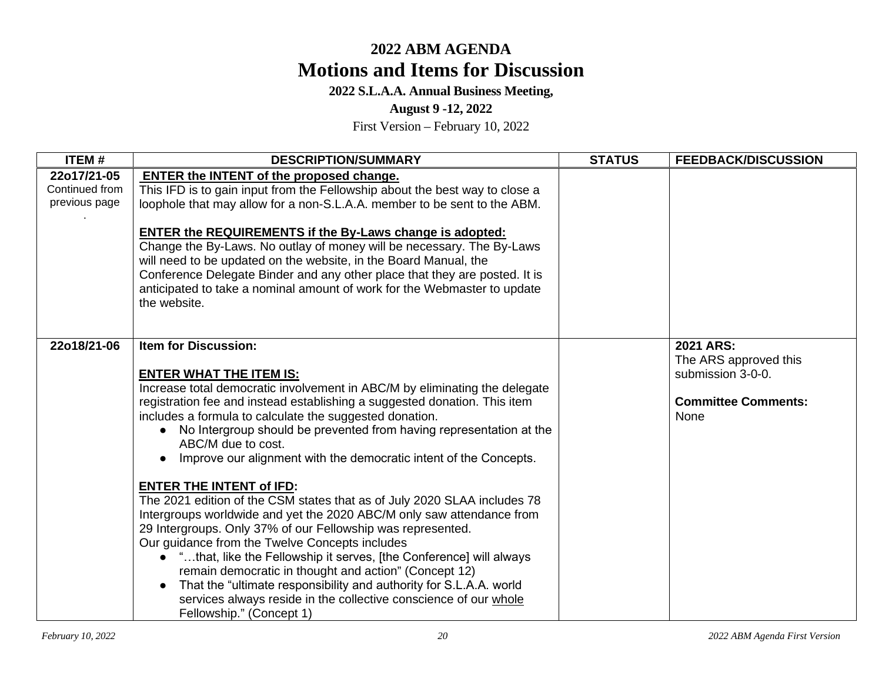## **2022 S.L.A.A. Annual Business Meeting,**

### **August 9 -12, 2022**

| ITEM#                                          | <b>DESCRIPTION/SUMMARY</b>                                                                                                                                                                                                                                                                                                                                                                                                                                                                                                                                                                                                                                                                                                                                                                                                                                                                                                                                                                                                                                                         | <b>STATUS</b> | <b>FEEDBACK/DISCUSSION</b>                                                                    |
|------------------------------------------------|------------------------------------------------------------------------------------------------------------------------------------------------------------------------------------------------------------------------------------------------------------------------------------------------------------------------------------------------------------------------------------------------------------------------------------------------------------------------------------------------------------------------------------------------------------------------------------------------------------------------------------------------------------------------------------------------------------------------------------------------------------------------------------------------------------------------------------------------------------------------------------------------------------------------------------------------------------------------------------------------------------------------------------------------------------------------------------|---------------|-----------------------------------------------------------------------------------------------|
| 22o17/21-05<br>Continued from<br>previous page | ENTER the INTENT of the proposed change.<br>This IFD is to gain input from the Fellowship about the best way to close a<br>loophole that may allow for a non-S.L.A.A. member to be sent to the ABM.<br><b>ENTER the REQUIREMENTS if the By-Laws change is adopted:</b><br>Change the By-Laws. No outlay of money will be necessary. The By-Laws<br>will need to be updated on the website, in the Board Manual, the<br>Conference Delegate Binder and any other place that they are posted. It is<br>anticipated to take a nominal amount of work for the Webmaster to update<br>the website.                                                                                                                                                                                                                                                                                                                                                                                                                                                                                      |               |                                                                                               |
| 22o18/21-06                                    | <b>Item for Discussion:</b><br><b>ENTER WHAT THE ITEM IS:</b><br>Increase total democratic involvement in ABC/M by eliminating the delegate<br>registration fee and instead establishing a suggested donation. This item<br>includes a formula to calculate the suggested donation.<br>No Intergroup should be prevented from having representation at the<br>$\bullet$<br>ABC/M due to cost.<br>Improve our alignment with the democratic intent of the Concepts.<br><b>ENTER THE INTENT of IFD:</b><br>The 2021 edition of the CSM states that as of July 2020 SLAA includes 78<br>Intergroups worldwide and yet the 2020 ABC/M only saw attendance from<br>29 Intergroups. Only 37% of our Fellowship was represented.<br>Our guidance from the Twelve Concepts includes<br>• "that, like the Fellowship it serves, [the Conference] will always<br>remain democratic in thought and action" (Concept 12)<br>That the "ultimate responsibility and authority for S.L.A.A. world<br>services always reside in the collective conscience of our whole<br>Fellowship." (Concept 1) |               | 2021 ARS:<br>The ARS approved this<br>submission 3-0-0.<br><b>Committee Comments:</b><br>None |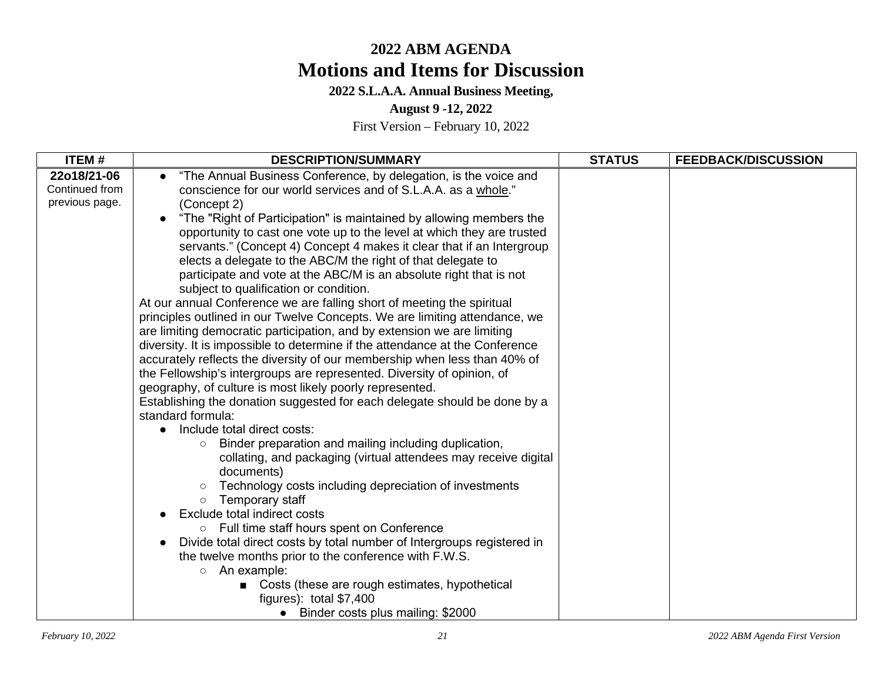## **2022 S.L.A.A. Annual Business Meeting,**

### **August 9 -12, 2022**

| <b>ITEM#</b>   | <b>DESCRIPTION/SUMMARY</b>                                                                                                                           | <b>STATUS</b> | <b>FEEDBACK/DISCUSSION</b> |
|----------------|------------------------------------------------------------------------------------------------------------------------------------------------------|---------------|----------------------------|
| 22o18/21-06    | "The Annual Business Conference, by delegation, is the voice and                                                                                     |               |                            |
| Continued from | conscience for our world services and of S.L.A.A. as a whole."                                                                                       |               |                            |
| previous page. | (Concept 2)                                                                                                                                          |               |                            |
|                | "The "Right of Participation" is maintained by allowing members the                                                                                  |               |                            |
|                | opportunity to cast one vote up to the level at which they are trusted                                                                               |               |                            |
|                | servants." (Concept 4) Concept 4 makes it clear that if an Intergroup                                                                                |               |                            |
|                | elects a delegate to the ABC/M the right of that delegate to                                                                                         |               |                            |
|                | participate and vote at the ABC/M is an absolute right that is not                                                                                   |               |                            |
|                | subject to qualification or condition.                                                                                                               |               |                            |
|                | At our annual Conference we are falling short of meeting the spiritual<br>principles outlined in our Twelve Concepts. We are limiting attendance, we |               |                            |
|                | are limiting democratic participation, and by extension we are limiting                                                                              |               |                            |
|                | diversity. It is impossible to determine if the attendance at the Conference                                                                         |               |                            |
|                | accurately reflects the diversity of our membership when less than 40% of                                                                            |               |                            |
|                | the Fellowship's intergroups are represented. Diversity of opinion, of                                                                               |               |                            |
|                | geography, of culture is most likely poorly represented.                                                                                             |               |                            |
|                | Establishing the donation suggested for each delegate should be done by a                                                                            |               |                            |
|                | standard formula:                                                                                                                                    |               |                            |
|                | Include total direct costs:                                                                                                                          |               |                            |
|                | Binder preparation and mailing including duplication,<br>$\circ$                                                                                     |               |                            |
|                | collating, and packaging (virtual attendees may receive digital<br>documents)                                                                        |               |                            |
|                | Technology costs including depreciation of investments<br>$\circ$                                                                                    |               |                            |
|                | Temporary staff<br>$\circ$                                                                                                                           |               |                            |
|                | Exclude total indirect costs                                                                                                                         |               |                            |
|                | ○ Full time staff hours spent on Conference                                                                                                          |               |                            |
|                | Divide total direct costs by total number of Intergroups registered in                                                                               |               |                            |
|                | the twelve months prior to the conference with F.W.S.                                                                                                |               |                            |
|                | An example:<br>$\circ$                                                                                                                               |               |                            |
|                | Costs (these are rough estimates, hypothetical                                                                                                       |               |                            |
|                | figures): total $$7,400$                                                                                                                             |               |                            |
|                | • Binder costs plus mailing: \$2000                                                                                                                  |               |                            |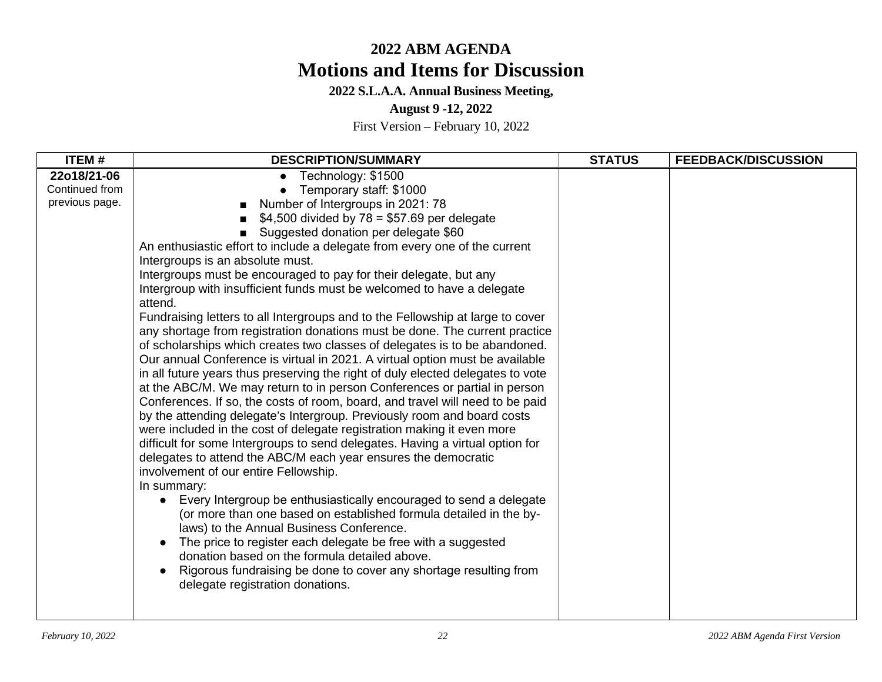**2022 S.L.A.A. Annual Business Meeting,** 

**August 9 -12, 2022** 

| <b>ITEM#</b>                                    | <b>DESCRIPTION/SUMMARY</b>                                                                                                                                                                                                                                                                                                                                                                                                                                                                                                                                                                                                                                                                                                                                                                                                                                                                                                                                                                                                                                                                                                                                                                                                                                                                                                                                                                                                                                                                                                                                                                                                                                                                                                                                                                                                 | <b>STATUS</b> | <b>FEEDBACK/DISCUSSION</b> |
|-------------------------------------------------|----------------------------------------------------------------------------------------------------------------------------------------------------------------------------------------------------------------------------------------------------------------------------------------------------------------------------------------------------------------------------------------------------------------------------------------------------------------------------------------------------------------------------------------------------------------------------------------------------------------------------------------------------------------------------------------------------------------------------------------------------------------------------------------------------------------------------------------------------------------------------------------------------------------------------------------------------------------------------------------------------------------------------------------------------------------------------------------------------------------------------------------------------------------------------------------------------------------------------------------------------------------------------------------------------------------------------------------------------------------------------------------------------------------------------------------------------------------------------------------------------------------------------------------------------------------------------------------------------------------------------------------------------------------------------------------------------------------------------------------------------------------------------------------------------------------------------|---------------|----------------------------|
| 22o18/21-06<br>Continued from<br>previous page. | Technology: \$1500<br>Temporary staff: \$1000<br>Number of Intergroups in 2021: 78<br>$$4,500$ divided by $78 = $57.69$ per delegate<br>Suggested donation per delegate \$60<br>An enthusiastic effort to include a delegate from every one of the current<br>Intergroups is an absolute must.<br>Intergroups must be encouraged to pay for their delegate, but any<br>Intergroup with insufficient funds must be welcomed to have a delegate<br>attend.<br>Fundraising letters to all Intergroups and to the Fellowship at large to cover<br>any shortage from registration donations must be done. The current practice<br>of scholarships which creates two classes of delegates is to be abandoned.<br>Our annual Conference is virtual in 2021. A virtual option must be available<br>in all future years thus preserving the right of duly elected delegates to vote<br>at the ABC/M. We may return to in person Conferences or partial in person<br>Conferences. If so, the costs of room, board, and travel will need to be paid<br>by the attending delegate's Intergroup. Previously room and board costs<br>were included in the cost of delegate registration making it even more<br>difficult for some Intergroups to send delegates. Having a virtual option for<br>delegates to attend the ABC/M each year ensures the democratic<br>involvement of our entire Fellowship.<br>In summary:<br>Every Intergroup be enthusiastically encouraged to send a delegate<br>(or more than one based on established formula detailed in the by-<br>laws) to the Annual Business Conference.<br>The price to register each delegate be free with a suggested<br>donation based on the formula detailed above.<br>Rigorous fundraising be done to cover any shortage resulting from<br>delegate registration donations. |               |                            |